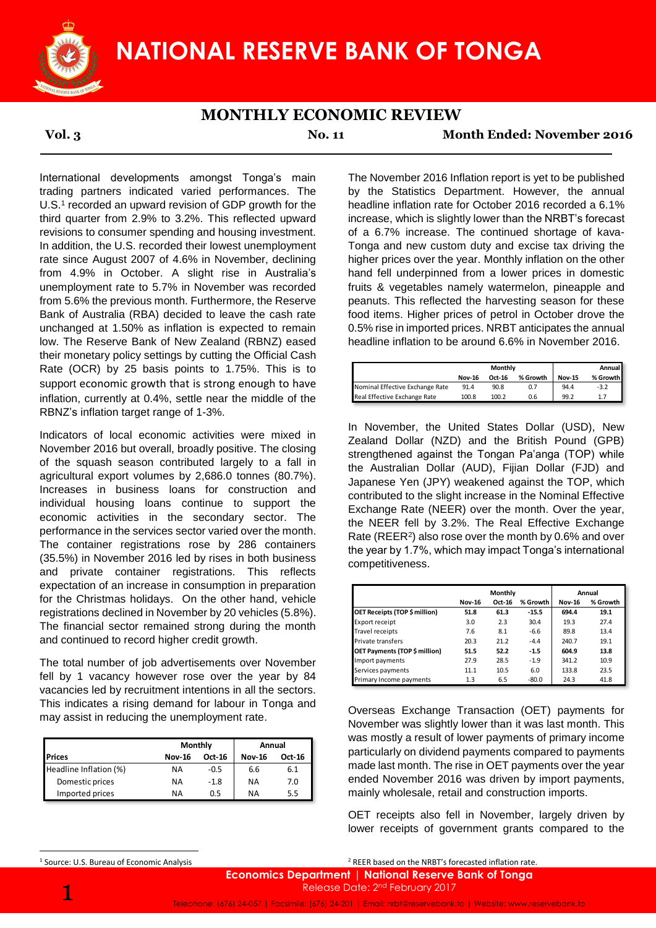

## **NATIONAL RESERVE BANK OF TONGA**

## **MONTHLY ECONOMIC REVIEW**

**Vol. 3 No. 11 Month Ended: November 2016**

International developments amongst Tonga's main trading partners indicated varied performances. The U.S.<sup>1</sup> recorded an upward revision of GDP growth for the third quarter from 2.9% to 3.2%. This reflected upward revisions to consumer spending and housing investment. In addition, the U.S. recorded their lowest unemployment rate since August 2007 of 4.6% in November, declining from 4.9% in October. A slight rise in Australia's unemployment rate to 5.7% in November was recorded from 5.6% the previous month. Furthermore, the Reserve Bank of Australia (RBA) decided to leave the cash rate unchanged at 1.50% as inflation is expected to remain low. The Reserve Bank of New Zealand (RBNZ) eased their monetary policy settings by cutting the Official Cash Rate (OCR) by 25 basis points to 1.75%. This is to support economic growth that is strong enough to have inflation, currently at 0.4%, settle near the middle of the RBNZ's inflation target range of 1-3%.

Indicators of local economic activities were mixed in November 2016 but overall, broadly positive. The closing of the squash season contributed largely to a fall in agricultural export volumes by 2,686.0 tonnes (80.7%). Increases in business loans for construction and individual housing loans continue to support the economic activities in the secondary sector. The performance in the services sector varied over the month. The container registrations rose by 286 containers (35.5%) in November 2016 led by rises in both business and private container registrations. This reflects expectation of an increase in consumption in preparation for the Christmas holidays. On the other hand, vehicle registrations declined in November by 20 vehicles (5.8%). The financial sector remained strong during the month and continued to record higher credit growth.

The total number of job advertisements over November fell by 1 vacancy however rose over the year by 84 vacancies led by recruitment intentions in all the sectors. This indicates a rising demand for labour in Tonga and may assist in reducing the unemployment rate.

|                        | Monthly       |        | Annual        |        |  |
|------------------------|---------------|--------|---------------|--------|--|
| <b>Prices</b>          | <b>Nov-16</b> | Oct-16 | <b>Nov-16</b> | Oct-16 |  |
| Headline Inflation (%) | <b>NA</b>     | $-0.5$ | 6.6           | 6.1    |  |
| Domestic prices        | <b>NA</b>     | $-1.8$ | ΝA            | 7.0    |  |
| Imported prices        | NΑ            | 0.5    | ΝA            | 5.5    |  |

The November 2016 Inflation report is yet to be published by the Statistics Department. However, the annual headline inflation rate for October 2016 recorded a 6.1% increase, which is slightly lower than the NRBT's forecast of a 6.7% increase. The continued shortage of kava-Tonga and new custom duty and excise tax driving the higher prices over the year. Monthly inflation on the other hand fell underpinned from a lower prices in domestic fruits & vegetables namely watermelon, pineapple and peanuts. This reflected the harvesting season for these food items. Higher prices of petrol in October drove the 0.5% rise in imported prices. NRBT anticipates the annual headline inflation to be around 6.6% in November 2016.

|                                 | Monthly       |        |          |               | <b>Annual</b> |
|---------------------------------|---------------|--------|----------|---------------|---------------|
|                                 | <b>Nov-16</b> | Oct-16 | % Growth | <b>Nov-15</b> | % Growth      |
| Nominal Effective Exchange Rate | 91.4          | 90.8   | 0.7      | 94.4          | $-3.2$        |
| Real Effective Exchange Rate    | 100.8         | 100.2  | 0.6      | 99.2          | 1.7           |

In November, the United States Dollar (USD), New Zealand Dollar (NZD) and the British Pound (GPB) strengthened against the Tongan Pa'anga (TOP) while the Australian Dollar (AUD), Fijian Dollar (FJD) and Japanese Yen (JPY) weakened against the TOP, which contributed to the slight increase in the Nominal Effective Exchange Rate (NEER) over the month. Over the year, the NEER fell by 3.2%. The Real Effective Exchange Rate (REER<sup>2</sup>) also rose over the month by 0.6% and over the year by 1.7%, which may impact Tonga's international competitiveness. oints to 1.75%. This is to<br>
alt is strong enough to have the state is strong enough to have the east for more of the test is tree of the selection enough (specified of the selection enough opposite). The Cosing and Dollar

|                                      | Monthly       |        |          | Annual        |          |  |
|--------------------------------------|---------------|--------|----------|---------------|----------|--|
|                                      | <b>Nov-16</b> | Oct-16 | % Growth | <b>Nov-16</b> | % Growth |  |
| OET Receipts (TOP \$ million)        | 51.8          | 61.3   | $-15.5$  | 694.4         | 19.1     |  |
| Export receipt                       | 3.0           | 2.3    | 30.4     | 19.3          | 27.4     |  |
| Travel receipts                      | 7.6           | 8.1    | $-6.6$   | 89.8          | 13.4     |  |
| Private transfers                    | 20.3          | 21.2   | $-4.4$   | 240.7         | 19.1     |  |
| <b>OET Payments (TOP \$ million)</b> | 51.5          | 52.2   | $-1.5$   | 604.9         | 13.8     |  |
| Import payments                      | 27.9          | 28.5   | $-1.9$   | 341.2         | 10.9     |  |
| Services payments                    | 11.1          | 10.5   | 6.0      | 133.8         | 23.5     |  |
| Primary Income payments              | 1.3           | 6.5    | $-80.0$  | 24.3          | 41.8     |  |

Overseas Exchange Transaction (OET) payments for November was slightly lower than it was last month. This was mostly a result of lower payments of primary income particularly on dividend payments compared to payments made last month. The rise in OET payments over the year ended November 2016 was driven by import payments, mainly wholesale, retail and construction imports.

OET receipts also fell in November, largely driven by lower receipts of government grants compared to the

1

**.** 

<sup>2</sup> REER based on the NRBT's forecasted inflation rate.

**Economics Department** | **National Reserve Bank of Tonga** Release Date: 2<sup>nd</sup> February 2017